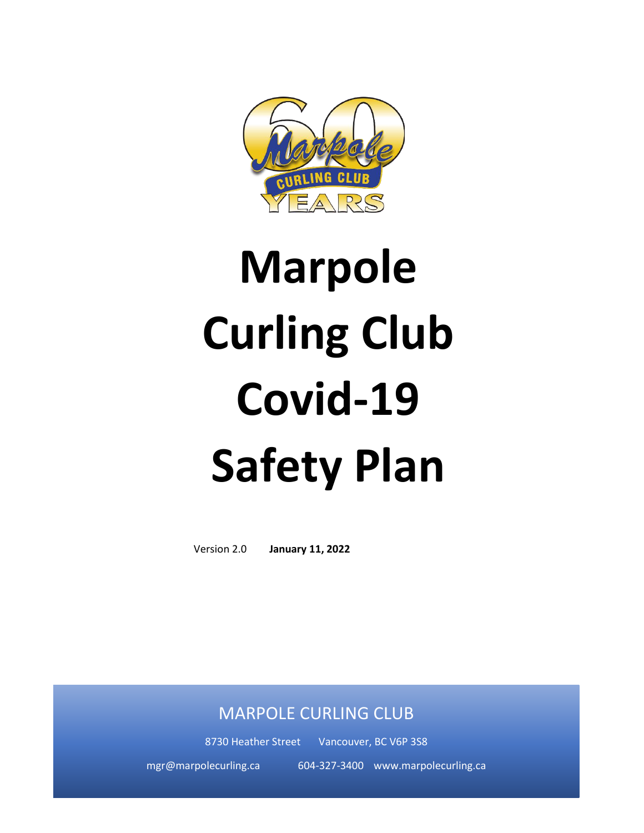

# **Marpole Curling Club Covid-19 Safety Plan**

Version 2.0 **January 11, 2022**

# MARPOLE CURLING CLUB

8730 Heather Street Vancouver, BC V6P 3S8

mgr@marpolecurling.ca 604-327-3400 www.marpolecurling.ca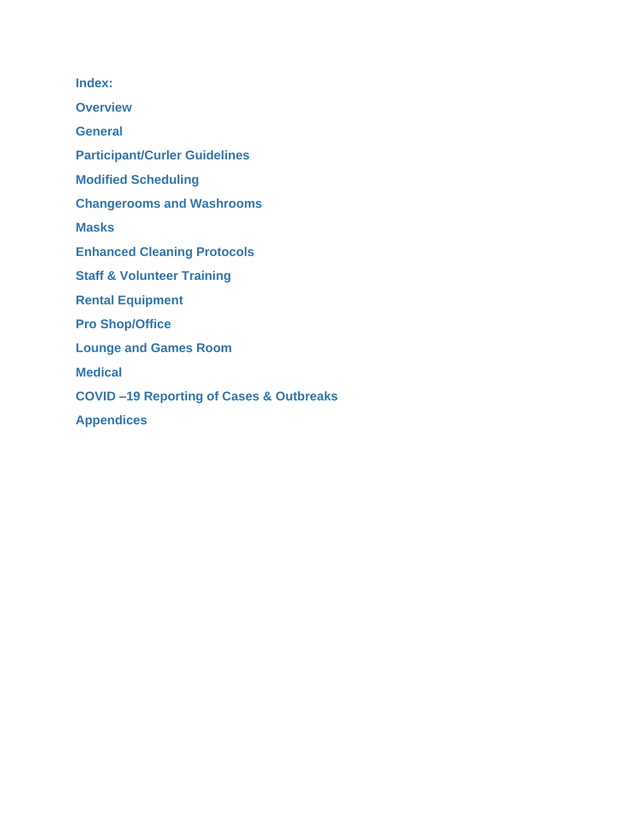**Index:**

**Overview**

**General**

**Participant/Curler Guidelines**

**Modified Scheduling**

**Changerooms and Washrooms**

**Masks**

**Enhanced Cleaning Protocols**

**Staff & Volunteer Training**

**Rental Equipment**

**Pro Shop/Office**

**Lounge and Games Room**

**Medical** 

**COVID –19 Reporting of Cases & Outbreaks**

**Appendices**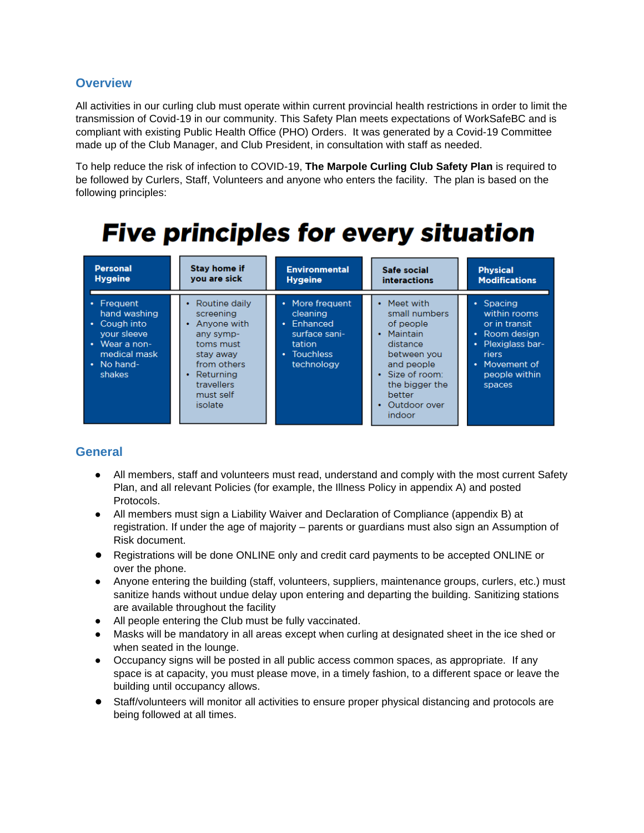#### **Overview**

All activities in our curling club must operate within current provincial health restrictions in order to limit the transmission of Covid-19 in our community. This Safety Plan meets expectations of WorkSafeBC and is compliant with existing Public Health Office (PHO) Orders. It was generated by a Covid-19 Committee made up of the Club Manager, and Club President, in consultation with staff as needed.

To help reduce the risk of infection to COVID-19, **The Marpole Curling Club Safety Plan** is required to be followed by Curlers, Staff, Volunteers and anyone who enters the facility. The plan is based on the following principles:

# **Five principles for every situation**

| <b>Personal</b>                                                                                            | <b>Stay home if</b>                                                                                                                                          | <b>Environmental</b>                                                                                           | Safe social                                                                                                                                                         | <b>Physical</b>                                                                                                                                |
|------------------------------------------------------------------------------------------------------------|--------------------------------------------------------------------------------------------------------------------------------------------------------------|----------------------------------------------------------------------------------------------------------------|---------------------------------------------------------------------------------------------------------------------------------------------------------------------|------------------------------------------------------------------------------------------------------------------------------------------------|
| <b>Hygeine</b>                                                                                             | you are sick                                                                                                                                                 | <b>Hygeine</b>                                                                                                 | <b>interactions</b>                                                                                                                                                 | <b>Modifications</b>                                                                                                                           |
| Frequent<br>hand washing<br>Cough into<br>vour sleeve<br>Wear a non-<br>medical mask<br>No hand-<br>shakes | Routine daily<br>٠<br>screening<br>Anyone with<br>any symp-<br>toms must<br>stay away<br>from others<br>Returning<br>٠<br>travellers<br>must self<br>isolate | • More frequent<br>cleaning<br>Enhanced<br>$\bullet$ .<br>surface sani-<br>tation<br>• Touchless<br>technology | Meet with<br>small numbers<br>of people<br>Maintain<br>distance<br>between you<br>and people<br>Size of room:<br>the bigger the<br>better<br>Outdoor over<br>indoor | $\cdot$ Spacing<br>within rooms<br>or in transit<br>• Room design<br>Plexiglass bar-<br>٠<br>riers<br>• Movement of<br>people within<br>spaces |

# **General**

- All members, staff and volunteers must read, understand and comply with the most current Safety Plan, and all relevant Policies (for example, the Illness Policy in appendix A) and posted Protocols.
- All members must sign a Liability Waiver and Declaration of Compliance (appendix B) at registration. If under the age of majority – parents or guardians must also sign an Assumption of Risk document.
- Registrations will be done ONLINE only and credit card payments to be accepted ONLINE or over the phone.
- Anyone entering the building (staff, volunteers, suppliers, maintenance groups, curlers, etc.) must sanitize hands without undue delay upon entering and departing the building. Sanitizing stations are available throughout the facility
- All people entering the Club must be fully vaccinated.
- Masks will be mandatory in all areas except when curling at designated sheet in the ice shed or when seated in the lounge.
- Occupancy signs will be posted in all public access common spaces, as appropriate. If any space is at capacity, you must please move, in a timely fashion, to a different space or leave the building until occupancy allows.
- Staff/volunteers will monitor all activities to ensure proper physical distancing and protocols are being followed at all times.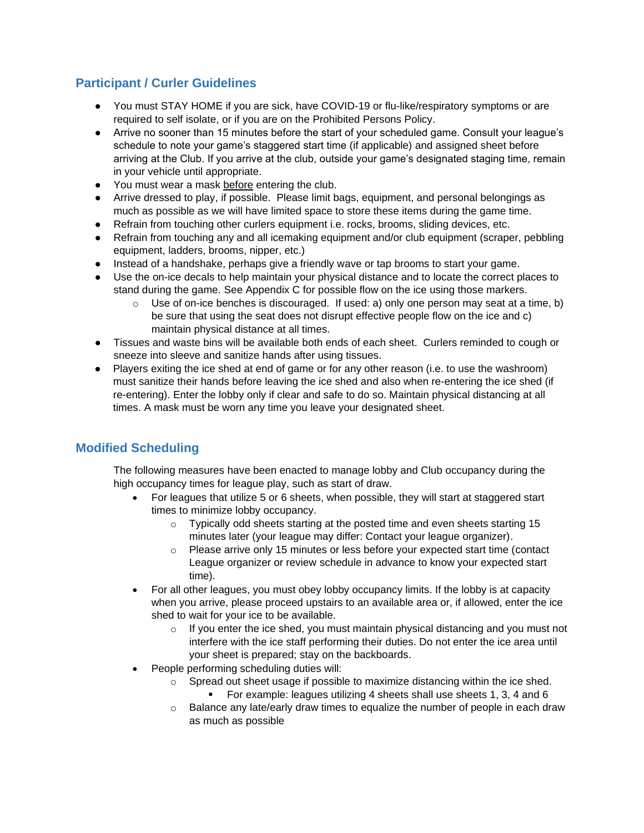# **Participant / Curler Guidelines**

- You must STAY HOME if you are sick, have COVID-19 or flu-like/respiratory symptoms or are required to self isolate, or if you are on the Prohibited Persons Policy.
- Arrive no sooner than 15 minutes before the start of your scheduled game. Consult your league's schedule to note your game's staggered start time (if applicable) and assigned sheet before arriving at the Club. If you arrive at the club, outside your game's designated staging time, remain in your vehicle until appropriate.
- You must wear a mask before entering the club.
- Arrive dressed to play, if possible. Please limit bags, equipment, and personal belongings as much as possible as we will have limited space to store these items during the game time.
- Refrain from touching other curlers equipment i.e. rocks, brooms, sliding devices, etc.
- Refrain from touching any and all icemaking equipment and/or club equipment (scraper, pebbling equipment, ladders, brooms, nipper, etc.)
- Instead of a handshake, perhaps give a friendly wave or tap brooms to start your game.
- Use the on-ice decals to help maintain your physical distance and to locate the correct places to stand during the game. See Appendix C for possible flow on the ice using those markers.
	- $\circ$  Use of on-ice benches is discouraged. If used: a) only one person may seat at a time, b) be sure that using the seat does not disrupt effective people flow on the ice and c) maintain physical distance at all times.
- Tissues and waste bins will be available both ends of each sheet. Curlers reminded to cough or sneeze into sleeve and sanitize hands after using tissues.
- Players exiting the ice shed at end of game or for any other reason (i.e. to use the washroom) must sanitize their hands before leaving the ice shed and also when re-entering the ice shed (if re-entering). Enter the lobby only if clear and safe to do so. Maintain physical distancing at all times. A mask must be worn any time you leave your designated sheet.

# **Modified Scheduling**

The following measures have been enacted to manage lobby and Club occupancy during the high occupancy times for league play, such as start of draw.

- For leagues that utilize 5 or 6 sheets, when possible, they will start at staggered start times to minimize lobby occupancy.
	- $\circ$  Typically odd sheets starting at the posted time and even sheets starting 15 minutes later (your league may differ: Contact your league organizer).
	- $\circ$  Please arrive only 15 minutes or less before your expected start time (contact League organizer or review schedule in advance to know your expected start time).
- For all other leagues, you must obey lobby occupancy limits. If the lobby is at capacity when you arrive, please proceed upstairs to an available area or, if allowed, enter the ice shed to wait for your ice to be available.
	- $\circ$  If you enter the ice shed, you must maintain physical distancing and you must not interfere with the ice staff performing their duties. Do not enter the ice area until your sheet is prepared; stay on the backboards.
- People performing scheduling duties will:
	- $\circ$  Spread out sheet usage if possible to maximize distancing within the ice shed. For example: leagues utilizing 4 sheets shall use sheets 1, 3, 4 and 6
	- Balance any late/early draw times to equalize the number of people in each draw as much as possible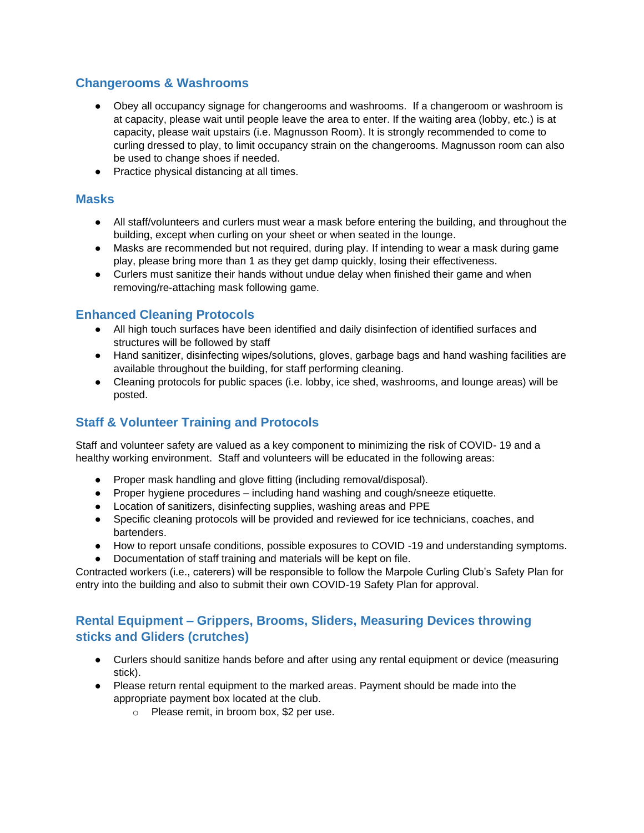# **Changerooms & Washrooms**

- Obey all occupancy signage for changerooms and washrooms. If a changeroom or washroom is at capacity, please wait until people leave the area to enter. If the waiting area (lobby, etc.) is at capacity, please wait upstairs (i.e. Magnusson Room). It is strongly recommended to come to curling dressed to play, to limit occupancy strain on the changerooms. Magnusson room can also be used to change shoes if needed.
- Practice physical distancing at all times.

#### **Masks**

- All staff/volunteers and curlers must wear a mask before entering the building, and throughout the building, except when curling on your sheet or when seated in the lounge.
- Masks are recommended but not required, during play. If intending to wear a mask during game play, please bring more than 1 as they get damp quickly, losing their effectiveness.
- Curlers must sanitize their hands without undue delay when finished their game and when removing/re-attaching mask following game.

# **Enhanced Cleaning Protocols**

- All high touch surfaces have been identified and daily disinfection of identified surfaces and structures will be followed by staff
- Hand sanitizer, disinfecting wipes/solutions, gloves, garbage bags and hand washing facilities are available throughout the building, for staff performing cleaning.
- Cleaning protocols for public spaces (i.e. lobby, ice shed, washrooms, and lounge areas) will be posted.

# **Staff & Volunteer Training and Protocols**

Staff and volunteer safety are valued as a key component to minimizing the risk of COVID- 19 and a healthy working environment. Staff and volunteers will be educated in the following areas:

- Proper mask handling and glove fitting (including removal/disposal).
- Proper hygiene procedures including hand washing and cough/sneeze etiquette.
- Location of sanitizers, disinfecting supplies, washing areas and PPE
- Specific cleaning protocols will be provided and reviewed for ice technicians, coaches, and bartenders.
- How to report unsafe conditions, possible exposures to COVID -19 and understanding symptoms.
- Documentation of staff training and materials will be kept on file.

Contracted workers (i.e., caterers) will be responsible to follow the Marpole Curling Club's Safety Plan for entry into the building and also to submit their own COVID-19 Safety Plan for approval.

# **Rental Equipment – Grippers, Brooms, Sliders, Measuring Devices throwing sticks and Gliders (crutches)**

- Curlers should sanitize hands before and after using any rental equipment or device (measuring stick).
- Please return rental equipment to the marked areas. Payment should be made into the appropriate payment box located at the club.
	- o Please remit, in broom box, \$2 per use.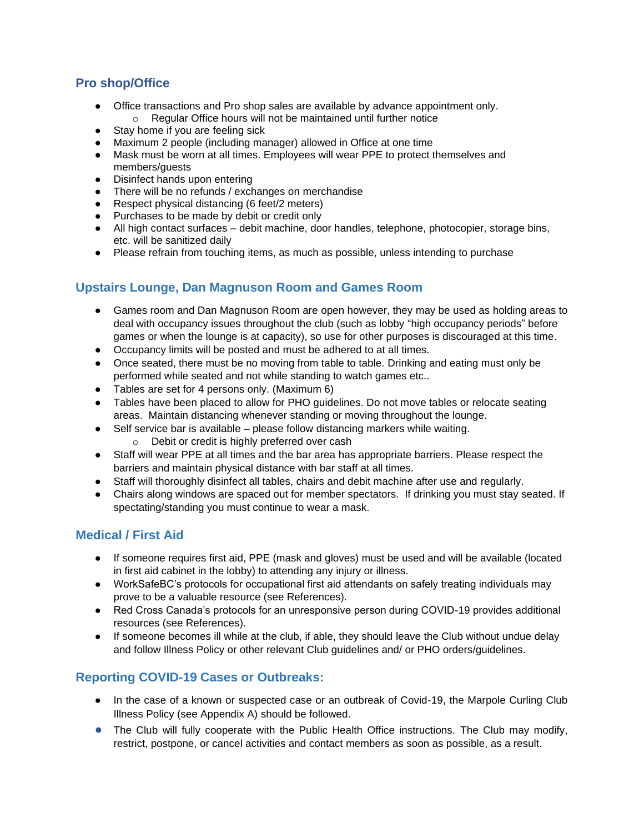# **Pro shop/Office**

- Office transactions and Pro shop sales are available by advance appointment only. o Regular Office hours will not be maintained until further notice
- Stay home if you are feeling sick
- Maximum 2 people (including manager) allowed in Office at one time
- Mask must be worn at all times. Employees will wear PPE to protect themselves and members/guests
- Disinfect hands upon entering
- There will be no refunds / exchanges on merchandise
- Respect physical distancing (6 feet/2 meters)
- Purchases to be made by debit or credit only
- All high contact surfaces debit machine, door handles, telephone, photocopier, storage bins, etc. will be sanitized daily
- Please refrain from touching items, as much as possible, unless intending to purchase

# **Upstairs Lounge, Dan Magnuson Room and Games Room**

- Games room and Dan Magnuson Room are open however, they may be used as holding areas to deal with occupancy issues throughout the club (such as lobby "high occupancy periods" before games or when the lounge is at capacity), so use for other purposes is discouraged at this time.
- Occupancy limits will be posted and must be adhered to at all times.
- Once seated, there must be no moving from table to table. Drinking and eating must only be performed while seated and not while standing to watch games etc..
- Tables are set for 4 persons only. (Maximum 6)
- Tables have been placed to allow for PHO quidelines. Do not move tables or relocate seating areas. Maintain distancing whenever standing or moving throughout the lounge.
- Self service bar is available please follow distancing markers while waiting.
	- o Debit or credit is highly preferred over cash
- Staff will wear PPE at all times and the bar area has appropriate barriers. Please respect the barriers and maintain physical distance with bar staff at all times.
- Staff will thoroughly disinfect all tables, chairs and debit machine after use and regularly.
- Chairs along windows are spaced out for member spectators. If drinking you must stay seated. If spectating/standing you must continue to wear a mask.

# **Medical / First Aid**

- If someone requires first aid, PPE (mask and gloves) must be used and will be available (located in first aid cabinet in the lobby) to attending any injury or illness.
- WorkSafeBC's protocols for occupational first aid attendants on safely treating individuals may prove to be a valuable resource (see References).
- Red Cross Canada's protocols for an unresponsive person during COVID-19 provides additional resources (see References).
- If someone becomes ill while at the club, if able, they should leave the Club without undue delay and follow Illness Policy or other relevant Club guidelines and/ or PHO orders/guidelines.

# **Reporting COVID-19 Cases or Outbreaks:**

- In the case of a known or suspected case or an outbreak of Covid-19, the Marpole Curling Club Illness Policy (see Appendix A) should be followed.
- The Club will fully cooperate with the Public Health Office instructions. The Club may modify, restrict, postpone, or cancel activities and contact members as soon as possible, as a result.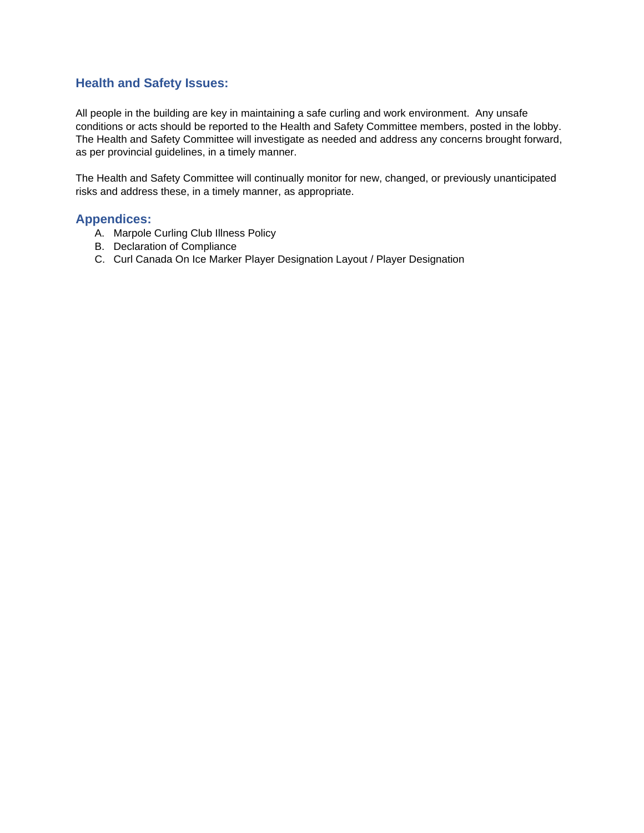#### **Health and Safety Issues:**

All people in the building are key in maintaining a safe curling and work environment. Any unsafe conditions or acts should be reported to the Health and Safety Committee members, posted in the lobby. The Health and Safety Committee will investigate as needed and address any concerns brought forward, as per provincial guidelines, in a timely manner.

The Health and Safety Committee will continually monitor for new, changed, or previously unanticipated risks and address these, in a timely manner, as appropriate.

#### **Appendices:**

- A. Marpole Curling Club Illness Policy
- B. Declaration of Compliance
- C. Curl Canada On Ice Marker Player Designation Layout / Player Designation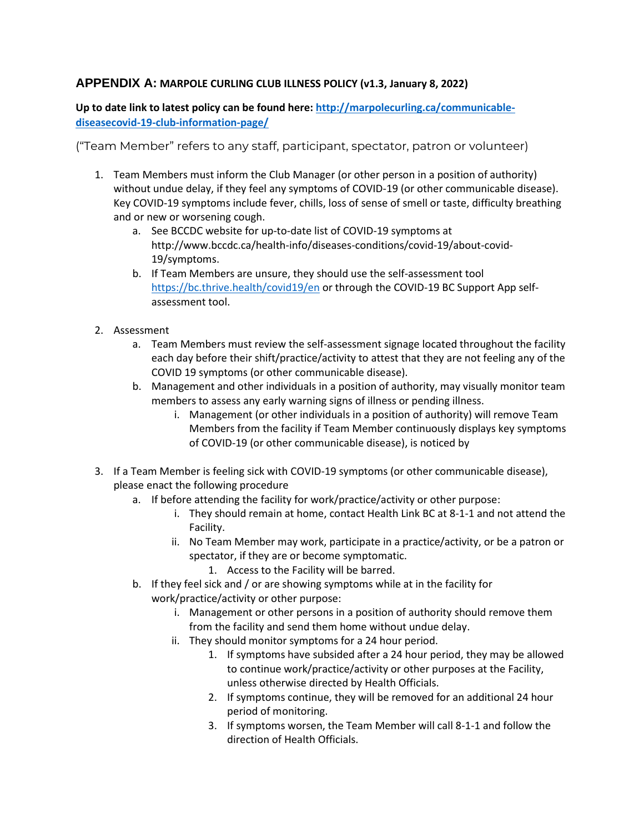#### **APPENDIX A: MARPOLE CURLING CLUB ILLNESS POLICY (v1.3, January 8, 2022)**

**Up to date link to latest policy can be found here: [http://marpolecurling.ca/communicable](http://marpolecurling.ca/communicable-diseasecovid-19-club-information-page/)[diseasecovid-19-club-information-page/](http://marpolecurling.ca/communicable-diseasecovid-19-club-information-page/)**

("Team Member" refers to any staff, participant, spectator, patron or volunteer)

- 1. Team Members must inform the Club Manager (or other person in a position of authority) without undue delay, if they feel any symptoms of COVID-19 (or other communicable disease). Key COVID-19 symptoms include fever, chills, loss of sense of smell or taste, difficulty breathing and or new or worsening cough.
	- a. See BCCDC website for up-to-date list of COVID-19 symptoms at http://www.bccdc.ca/health-info/diseases-conditions/covid-19/about-covid-19/symptoms.
	- b. If Team Members are unsure, they should use the self-assessment tool <https://bc.thrive.health/covid19/en> or through the COVID-19 BC Support App selfassessment tool.
- 2. Assessment
	- a. Team Members must review the self-assessment signage located throughout the facility each day before their shift/practice/activity to attest that they are not feeling any of the COVID 19 symptoms (or other communicable disease).
	- b. Management and other individuals in a position of authority, may visually monitor team members to assess any early warning signs of illness or pending illness.
		- i. Management (or other individuals in a position of authority) will remove Team Members from the facility if Team Member continuously displays key symptoms of COVID-19 (or other communicable disease), is noticed by
- 3. If a Team Member is feeling sick with COVID-19 symptoms (or other communicable disease), please enact the following procedure
	- a. If before attending the facility for work/practice/activity or other purpose:
		- i. They should remain at home, contact Health Link BC at 8-1-1 and not attend the Facility.
		- ii. No Team Member may work, participate in a practice/activity, or be a patron or spectator, if they are or become symptomatic.
			- 1. Access to the Facility will be barred.
	- b. If they feel sick and / or are showing symptoms while at in the facility for work/practice/activity or other purpose:
		- i. Management or other persons in a position of authority should remove them from the facility and send them home without undue delay.
		- ii. They should monitor symptoms for a 24 hour period.
			- 1. If symptoms have subsided after a 24 hour period, they may be allowed to continue work/practice/activity or other purposes at the Facility, unless otherwise directed by Health Officials.
			- 2. If symptoms continue, they will be removed for an additional 24 hour period of monitoring.
			- 3. If symptoms worsen, the Team Member will call 8-1-1 and follow the direction of Health Officials.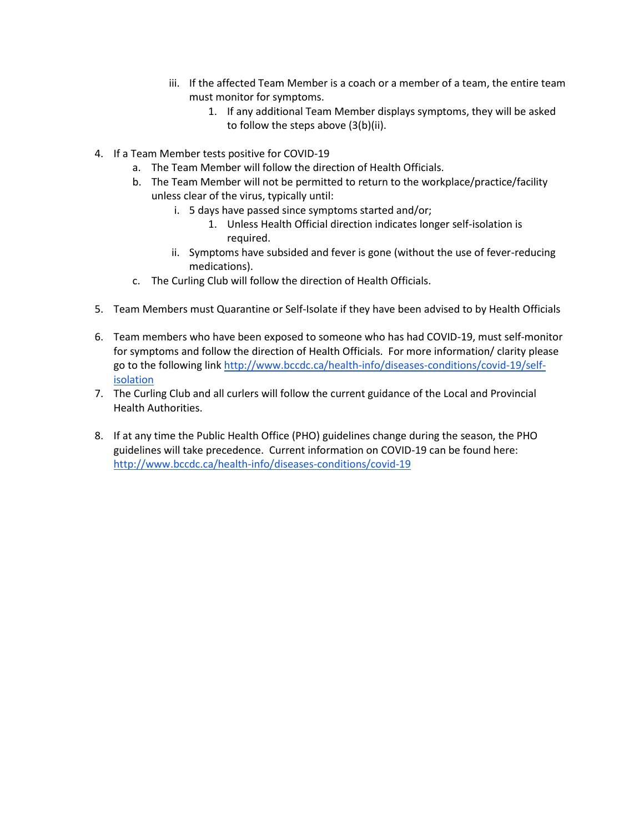- iii. If the affected Team Member is a coach or a member of a team, the entire team must monitor for symptoms.
	- 1. If any additional Team Member displays symptoms, they will be asked to follow the steps above (3(b)(ii).
- 4. If a Team Member tests positive for COVID-19
	- a. The Team Member will follow the direction of Health Officials.
	- b. The Team Member will not be permitted to return to the workplace/practice/facility unless clear of the virus, typically until:
		- i. 5 days have passed since symptoms started and/or;
			- 1. Unless Health Official direction indicates longer self-isolation is required.
		- ii. Symptoms have subsided and fever is gone (without the use of fever-reducing medications).
	- c. The Curling Club will follow the direction of Health Officials.
- 5. Team Members must Quarantine or Self-Isolate if they have been advised to by Health Officials
- 6. Team members who have been exposed to someone who has had COVID-19, must self-monitor for symptoms and follow the direction of Health Officials. For more information/ clarity please go to the following link [http://www.bccdc.ca/health-info/diseases-conditions/covid-19/self](http://www.bccdc.ca/health-info/diseases-conditions/covid-19/self-isolation)[isolation](http://www.bccdc.ca/health-info/diseases-conditions/covid-19/self-isolation)
- 7. The Curling Club and all curlers will follow the current guidance of the Local and Provincial Health Authorities.
- 8. If at any time the Public Health Office (PHO) guidelines change during the season, the PHO guidelines will take precedence. Current information on COVID-19 can be found here: <http://www.bccdc.ca/health-info/diseases-conditions/covid-19>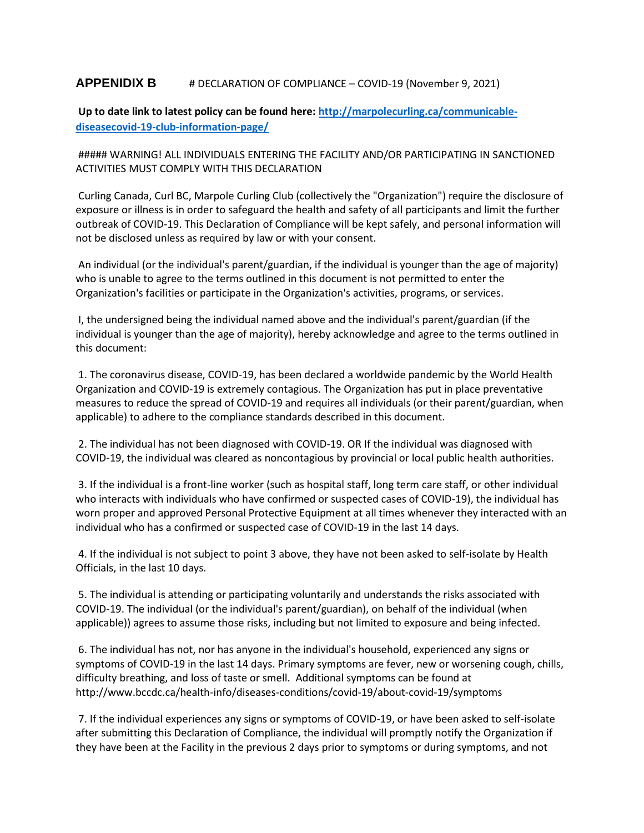#### **APPENIDIX B** # DECLARATION OF COMPLIANCE – COVID-19 (November 9, 2021)

**Up to date link to latest policy can be found here: [http://marpolecurling.ca/communicable](http://marpolecurling.ca/communicable-diseasecovid-19-club-information-page/)[diseasecovid-19-club-information-page/](http://marpolecurling.ca/communicable-diseasecovid-19-club-information-page/)**

##### WARNING! ALL INDIVIDUALS ENTERING THE FACILITY AND/OR PARTICIPATING IN SANCTIONED ACTIVITIES MUST COMPLY WITH THIS DECLARATION

Curling Canada, Curl BC, Marpole Curling Club (collectively the "Organization") require the disclosure of exposure or illness is in order to safeguard the health and safety of all participants and limit the further outbreak of COVID-19. This Declaration of Compliance will be kept safely, and personal information will not be disclosed unless as required by law or with your consent.

An individual (or the individual's parent/guardian, if the individual is younger than the age of majority) who is unable to agree to the terms outlined in this document is not permitted to enter the Organization's facilities or participate in the Organization's activities, programs, or services.

I, the undersigned being the individual named above and the individual's parent/guardian (if the individual is younger than the age of majority), hereby acknowledge and agree to the terms outlined in this document:

1. The coronavirus disease, COVID-19, has been declared a worldwide pandemic by the World Health Organization and COVID-19 is extremely contagious. The Organization has put in place preventative measures to reduce the spread of COVID-19 and requires all individuals (or their parent/guardian, when applicable) to adhere to the compliance standards described in this document.

2. The individual has not been diagnosed with COVID-19. OR If the individual was diagnosed with COVID-19, the individual was cleared as noncontagious by provincial or local public health authorities.

3. If the individual is a front-line worker (such as hospital staff, long term care staff, or other individual who interacts with individuals who have confirmed or suspected cases of COVID-19), the individual has worn proper and approved Personal Protective Equipment at all times whenever they interacted with an individual who has a confirmed or suspected case of COVID-19 in the last 14 days.

4. If the individual is not subject to point 3 above, they have not been asked to self-isolate by Health Officials, in the last 10 days.

5. The individual is attending or participating voluntarily and understands the risks associated with COVID-19. The individual (or the individual's parent/guardian), on behalf of the individual (when applicable)) agrees to assume those risks, including but not limited to exposure and being infected.

6. The individual has not, nor has anyone in the individual's household, experienced any signs or symptoms of COVID-19 in the last 14 days. Primary symptoms are fever, new or worsening cough, chills, difficulty breathing, and loss of taste or smell. Additional symptoms can be found at http://www.bccdc.ca/health-info/diseases-conditions/covid-19/about-covid-19/symptoms

7. If the individual experiences any signs or symptoms of COVID-19, or have been asked to self-isolate after submitting this Declaration of Compliance, the individual will promptly notify the Organization if they have been at the Facility in the previous 2 days prior to symptoms or during symptoms, and not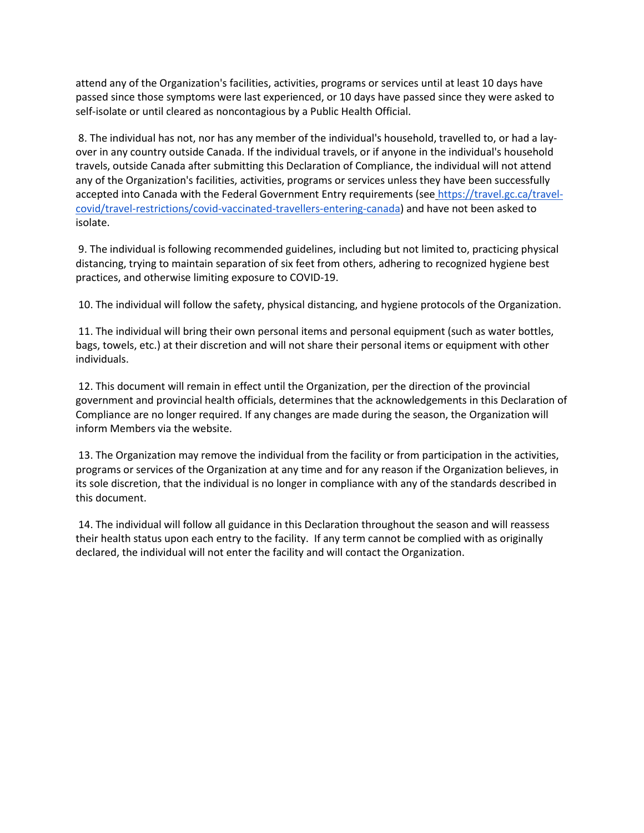attend any of the Organization's facilities, activities, programs or services until at least 10 days have passed since those symptoms were last experienced, or 10 days have passed since they were asked to self-isolate or until cleared as noncontagious by a Public Health Official.

8. The individual has not, nor has any member of the individual's household, travelled to, or had a layover in any country outside Canada. If the individual travels, or if anyone in the individual's household travels, outside Canada after submitting this Declaration of Compliance, the individual will not attend any of the Organization's facilities, activities, programs or services unless they have been successfully accepted into Canada with the Federal Government Entry requirements (see [https://travel.gc.ca/travel](https://travel.gc.ca/travel-covid/travel-restrictions/covid-vaccinated-travellers-entering-canada)[covid/travel-restrictions/covid-vaccinated-travellers-entering-canada\)](https://travel.gc.ca/travel-covid/travel-restrictions/covid-vaccinated-travellers-entering-canada) and have not been asked to isolate.

9. The individual is following recommended guidelines, including but not limited to, practicing physical distancing, trying to maintain separation of six feet from others, adhering to recognized hygiene best practices, and otherwise limiting exposure to COVID-19.

10. The individual will follow the safety, physical distancing, and hygiene protocols of the Organization.

11. The individual will bring their own personal items and personal equipment (such as water bottles, bags, towels, etc.) at their discretion and will not share their personal items or equipment with other individuals.

12. This document will remain in effect until the Organization, per the direction of the provincial government and provincial health officials, determines that the acknowledgements in this Declaration of Compliance are no longer required. If any changes are made during the season, the Organization will inform Members via the website.

13. The Organization may remove the individual from the facility or from participation in the activities, programs or services of the Organization at any time and for any reason if the Organization believes, in its sole discretion, that the individual is no longer in compliance with any of the standards described in this document.

14. The individual will follow all guidance in this Declaration throughout the season and will reassess their health status upon each entry to the facility. If any term cannot be complied with as originally declared, the individual will not enter the facility and will contact the Organization.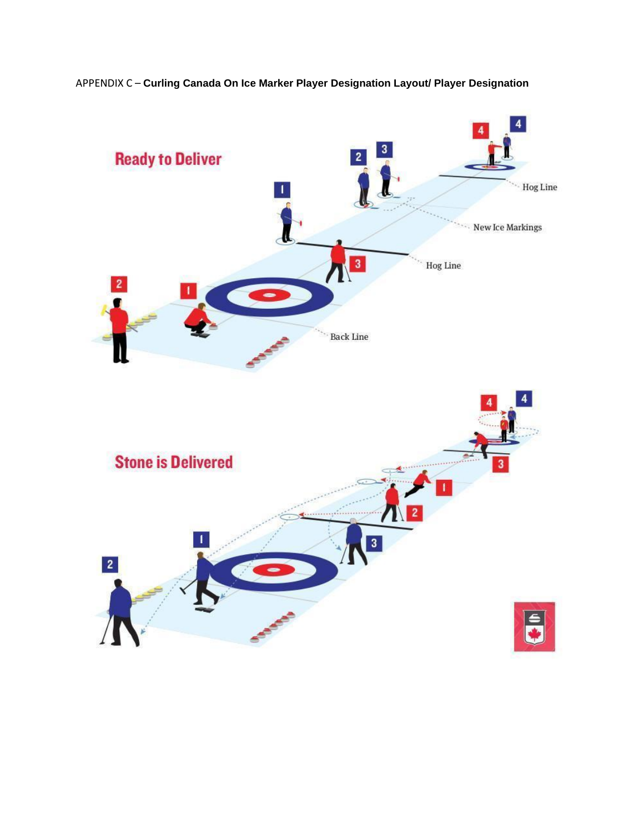

APPENDIX C – **Curling Canada On Ice Marker Player Designation Layout/ Player Designation**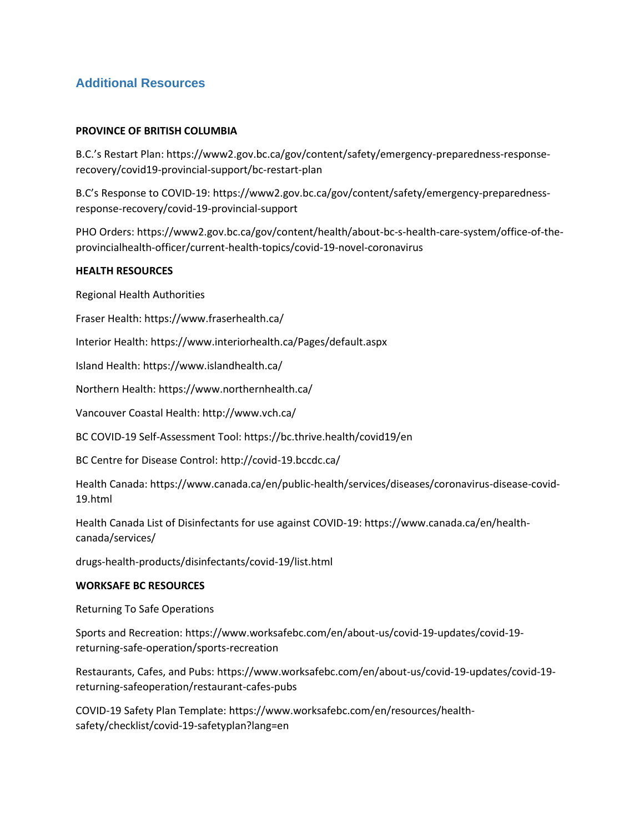# **Additional Resources**

#### **PROVINCE OF BRITISH COLUMBIA**

B.C.'s Restart Plan: https://www2.gov.bc.ca/gov/content/safety/emergency-preparedness-responserecovery/covid19-provincial-support/bc-restart-plan

B.C's Response to COVID-19: https://www2.gov.bc.ca/gov/content/safety/emergency-preparednessresponse-recovery/covid-19-provincial-support

PHO Orders: https://www2.gov.bc.ca/gov/content/health/about-bc-s-health-care-system/office-of-theprovincialhealth-officer/current-health-topics/covid-19-novel-coronavirus

#### **HEALTH RESOURCES**

Regional Health Authorities

Fraser Health: https://www.fraserhealth.ca/

Interior Health: https://www.interiorhealth.ca/Pages/default.aspx

Island Health: https://www.islandhealth.ca/

Northern Health: https://www.northernhealth.ca/

Vancouver Coastal Health: http://www.vch.ca/

BC COVID-19 Self-Assessment Tool: https://bc.thrive.health/covid19/en

BC Centre for Disease Control: http://covid-19.bccdc.ca/

Health Canada: https://www.canada.ca/en/public-health/services/diseases/coronavirus-disease-covid-19.html

Health Canada List of Disinfectants for use against COVID-19: https://www.canada.ca/en/healthcanada/services/

drugs-health-products/disinfectants/covid-19/list.html

#### **WORKSAFE BC RESOURCES**

Returning To Safe Operations

Sports and Recreation: https://www.worksafebc.com/en/about-us/covid-19-updates/covid-19 returning-safe-operation/sports-recreation

Restaurants, Cafes, and Pubs: https://www.worksafebc.com/en/about-us/covid-19-updates/covid-19 returning-safeoperation/restaurant-cafes-pubs

COVID-19 Safety Plan Template: https://www.worksafebc.com/en/resources/healthsafety/checklist/covid-19-safetyplan?lang=en